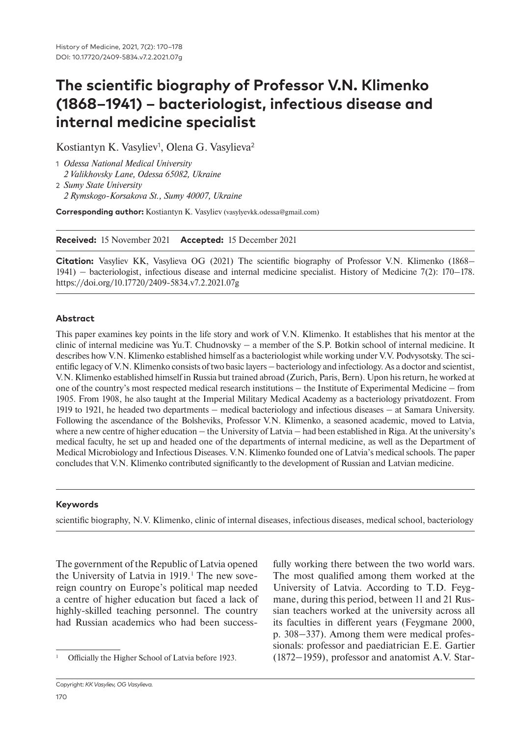# **The scientific biography of Professor V.N. Klimenko (1868‒1941) – bacteriologist, infectious disease and internal medicine specialist**

Kostiantyn K. Vasyliev<sup>1</sup>, Olena G. Vasylieva<sup>2</sup>

1 *Odessa National Medical University 2 Valikhovsky Lane, Odessa 65082, Ukraine* 2 *Sumy State University*

*2 Rymskogo-Korsakova St., Sumy 40007, Ukraine*

**Corresponding author:** Kostiantyn K. Vasyliev (vasylyevkk.odessa@gmail.com)

**Received:** 15 November 2021 **Accepted:** 15 December 2021

**Citation:** Vasyliev KK, Vasylieva OG (2021) The scientific biography of Professor V.N. Klimenko (1868– 1941) ‒ bacteriologist, infectious disease and internal medicine specialist. History of Medicine 7(2): 170–178. https://doi.org/10.17720/2409-5834.v7.2.2021.07g

#### **Abstract**

This paper examines key points in the life story and work of V.N. Klimenko. It establishes that his mentor at the clinic of internal medicine was Yu.T. Chudnovsky  $-$  a member of the S.P. Botkin school of internal medicine. It describes how V.N. Klimenko established himself as a bacteriologist while working under V.V. Podvysotsky. The scientific legacy of V.N. Klimenko consists of two basic layers — bacteriology and infectiology. As a doctor and scientist, V.N. Klimenko established himself in Russia but trained abroad (Zurich, Paris, Bern). Upon his return, he worked at one of the country's most respected medical research institutions — the Institute of Experimental Medicine — from 1905. From 1908, he also taught at the Imperial Military Medical Academy as a bacteriology privatdozent. From 1919 to 1921, he headed two departments ‒ medical bacteriology and infectious diseases ‒ at Samara University. Following the ascendance of the Bolsheviks, Professor V.N. Klimenko, a seasoned academic, moved to Latvia, where a new centre of higher education  $-$  the University of Latvia  $-$  had been established in Riga. At the university's medical faculty, he set up and headed one of the departments of internal medicine, as well as the Department of Medical Microbiology and Infectious Diseases. V.N. Klimenko founded one of Latvia's medical schools. The paper concludes that V.N. Klimenko contributed significantly to the development of Russian and Latvian medicine.

#### **Keywords**

scientific biography, N.V. Klimenko, clinic of internal diseases, infectious diseases, medical school, bacteriology

The government of the Republic of Latvia opened the University of Latvia in 1919.<sup>1</sup> The new sovereign country on Europe's political map needed a centre of higher education but faced a lack of highly-skilled teaching personnel. The country had Russian academics who had been success-

fully working there between the two world wars. The most qualified among them worked at the University of Latvia. According to T.D. Feygmane, during this period, between 11 and 21 Russian teachers worked at the university across all its faculties in different years (Feygmane 2000, p. 308–337). Among them were medical professionals: professor and paediatrician E.E. Gartier (1872–1959), professor and anatomist A.V. Star-

Officially the Higher School of Latvia before 1923.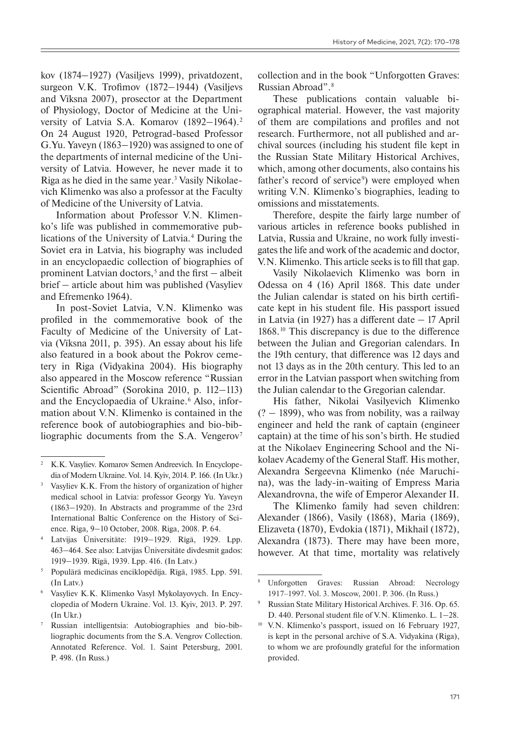kov (1874–1927) (Vasilievs 1999), privatdozent, surgeon V.K. Trofimov (1872–1944) (Vasiljevs and Vīksna 2007), prosector at the Department of Physiology, Doctor of Medicine at the University of Latvia S.A. Komarov  $(1892-1964).$ <sup>2</sup> On 24 August 1920, Petrograd-based Professor G.Yu. Yaveyn (1863–1920) was assigned to one of the departments of internal medicine of the University of Latvia. However, he never made it to Riga as he died in the same year. 3 Vasily Nikolaevich Klimenko was also a professor at the Faculty of Medicine of the University of Latvia.

Information about Professor V.N. Klimenko's life was published in commemorative publications of the University of Latvia.4 During the Soviet era in Latvia, his biography was included in an encyclopaedic collection of biographies of prominent Latvian doctors,<sup>5</sup> and the first – albeit brief ‒ article about him was published (Vasyliev and Efremenko 1964).

In post-Soviet Latvia, V.N. Klimenko was profiled in the commemorative book of the Faculty of Medicine of the University of Latvia (Vīksna 2011, p. 395). An essay about his life also featured in a book about the Pokrov cemetery in Riga (Vidyakina 2004). His biography also appeared in the Moscow reference "Russian Scientific Abroad" (Sorokina 2010, p. 112–113) and the Encyclopaedia of Ukraine.<sup>6</sup> Also, information about V.N. Klimenko is contained in the reference book of autobiographies and bio-bibliographic documents from the S.A. Vengerov<sup>7</sup>

collection and in the book "Unforgotten Graves: Russian Abroad".8

These publications contain valuable biographical material. However, the vast majority of them are compilations and profiles and not research. Furthermore, not all published and archival sources (including his student file kept in the Russian State Military Historical Archives, which, among other documents, also contains his father's record of service<sup>9</sup>) were employed when writing V.N. Klimenko's biographies, leading to omissions and misstatements.

Therefore, despite the fairly large number of various articles in reference books published in Latvia, Russia and Ukraine, no work fully investigates the life and work of the academic and doctor, V.N. Klimenko. This article seeks is to fill that gap.

Vasily Nikolaevich Klimenko was born in Odessa on 4 (16) April 1868. This date under the Julian calendar is stated on his birth certificate kept in his student file. His passport issued in Latvia (in 1927) has a different date  $-17$  April 1868.10 This discrepancy is due to the difference between the Julian and Gregorian calendars. In the 19th century, that difference was 12 days and not 13 days as in the 20th century. This led to an error in the Latvian passport when switching from the Julian calendar to the Gregorian calendar.

His father, Nikolai Vasilyevich Klimenko  $(2 - 1899)$ , who was from nobility, was a railway engineer and held the rank of captain (engineer captain) at the time of his son's birth. He studied at the Nikolaev Engineering School and the Nikolaev Academy of the General Staff. His mother, Alexandra Sergeevna Klimenko (née Maruchina), was the lady-in-waiting of Empress Maria Alexandrovna, the wife of Emperor Alexander II.

The Klimenko family had seven children: Alexander (1866), Vasily (1868), Maria (1869), Elizaveta (1870), Evdokia (1871), Mikhail (1872), Alexandra (1873). There may have been more, however. At that time, mortality was relatively

<sup>&</sup>lt;sup>2</sup> K.K. Vasyliev. Komarov Semen Andreevich. In Encyclopedia of Modern Ukraine. Vol. 14. Kyiv, 2014. P. 166. (In Ukr.)

Vasyliev K.K. From the history of organization of higher medical school in Latvia: professor Georgy Yu. Yaveyn (1863‒1920). In Abstracts and programme of the 23rd International Baltic Conference on the History of Science. Riga, 9‒10 October, 2008. Riga, 2008. Р. 64.

Latvijas Ūniversitāte: 1919—1929. Rīgā, 1929. Lpp. 463‒464. See also: Latvijas Ūniversitāte divdesmit gados: 1919‒1939. Rīgā, 1939. Lpp. 416. (In Latv.)

<sup>5</sup> Populārā medicīnas enciklopēdija. Rīgā, 1985. Lpp. 591. (In Latv.)

<sup>6</sup> Vasyliev K.K. Klimenko Vasyl Mykolayovych. In Encyclopedia of Modern Ukraine. Vol. 13. Kyiv, 2013. P. 297. (In Ukr.)

Russian intelligentsia: Autobiographies and bio-bibliographic documents from the S.A. Vengrov Collection. Annotated Reference. Vol. 1. Saint Petersburg, 2001. P. 498. (In Russ.)

<sup>8</sup> Unforgotten Graves: Russian Abroad: Necrology 1917‒1997. Vol. 3. Moscow, 2001. P. 306. (In Russ.)

<sup>9</sup> Russian State Military Historical Archives. F. 316. Op. 65. D. 440. Personal student file of V.N. Klimenko. L. 1–28.

<sup>10</sup> V.N. Klimenko's passport, issued on 16 February 1927, is kept in the personal archive of S.A. Vidyakina (Riga), to whom we are profoundly grateful for the information provided.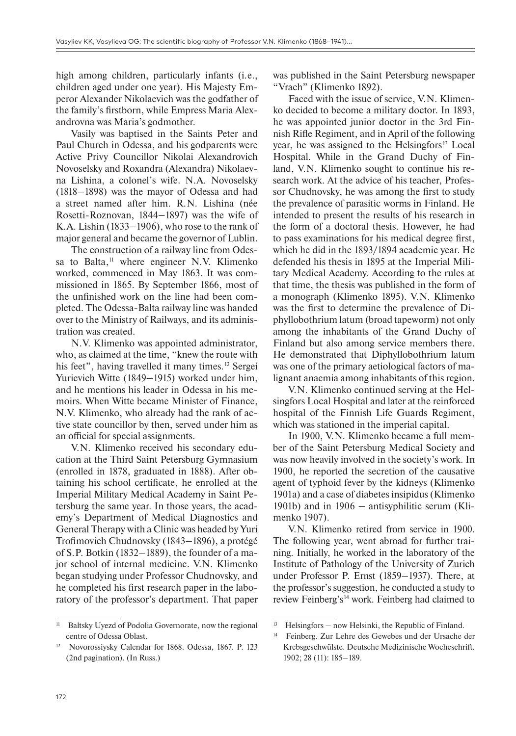high among children, particularly infants (i.e., children aged under one year). His Majesty Emperor Alexander Nikolaevich was the godfather of the family's firstborn, while Empress Maria Alexandrovna was Maria's godmother.

Vasily was baptised in the Saints Peter and Paul Church in Odessa, and his godparents were Active Privy Councillor Nikolai Alexandrovich Novoselsky and Roxandra (Alexandra) Nikolaevna Lishina, a colonel's wife. N.A. Novoselsky (1818–1898) was the mayor of Odessa and had a street named after him. R.N. Lishina (née Rosetti-Roznovan, 1844–1897) was the wife of K.A. Lishin  $(1833-1906)$ , who rose to the rank of major general and became the governor of Lublin.

The construction of a railway line from Odessa to Balta, 11 where engineer N.V. Klimenko worked, commenced in May 1863. It was commissioned in 1865. By September 1866, most of the unfinished work on the line had been completed. The Odessa-Balta railway line was handed over to the Ministry of Railways, and its administration was created.

N.V. Klimenko was appointed administrator, who, as claimed at the time, "knew the route with his feet", having travelled it many times.<sup>12</sup> Sergei Yurievich Witte (1849–1915) worked under him, and he mentions his leader in Odessa in his memoirs. When Witte became Minister of Finance, N.V. Klimenko, who already had the rank of active state councillor by then, served under him as an official for special assignments.

V.N. Klimenko received his secondary education at the Third Saint Petersburg Gymnasium (enrolled in 1878, graduated in 1888). After obtaining his school certificate, he enrolled at the Imperial Military Medical Academy in Saint Petersburg the same year. In those years, the academy's Department of Medical Diagnostics and General Therapy with a Clinic was headed by Yuri Trofimovich Chudnovsky (1843–1896), a protégé of S.P. Botkin (1832–1889), the founder of a major school of internal medicine. V.N. Klimenko began studying under Professor Chudnovsky, and he completed his first research paper in the laboratory of the professor's department. That paper was published in the Saint Petersburg newspaper "Vrach" (Klimenko 1892).

Faced with the issue of service, V.N. Klimenko decided to become a military doctor. In 1893, he was appointed junior doctor in the 3rd Finnish Rifle Regiment, and in April of the following year, he was assigned to the Helsingfors<sup>13</sup> Local Hospital. While in the Grand Duchy of Finland, V.N. Klimenko sought to continue his research work. At the advice of his teacher, Professor Chudnovsky, he was among the first to study the prevalence of parasitic worms in Finland. He intended to present the results of his research in the form of a doctoral thesis. However, he had to pass examinations for his medical degree first, which he did in the 1893/1894 academic year. He defended his thesis in 1895 at the Imperial Military Medical Academy. According to the rules at that time, the thesis was published in the form of a monograph (Klimenko 1895). V.N. Klimenko was the first to determine the prevalence of Diphyllobothrium latum (broad tapeworm) not only among the inhabitants of the Grand Duchy of Finland but also among service members there. He demonstrated that Diphyllobothrium latum was one of the primary aetiological factors of malignant anaemia among inhabitants of this region.

V.N. Klimenko continued serving at the Helsingfors Local Hospital and later at the reinforced hospital of the Finnish Life Guards Regiment, which was stationed in the imperial capital.

In 1900, V.N. Klimenko became a full member of the Saint Petersburg Medical Society and was now heavily involved in the society's work. In 1900, he reported the secretion of the causative agent of typhoid fever by the kidneys (Klimenko 1901a) and a case of diabetes insipidus (Klimenko 1901b) and in  $1906 -$  antisyphilitic serum (Klimenko 1907).

V.N. Klimenko retired from service in 1900. The following year, went abroad for further training. Initially, he worked in the laboratory of the Institute of Pathology of the University of Zurich under Professor P. Ernst (1859–1937). There, at the professor's suggestion, he conducted a study to review Feinberg's<sup>14</sup> work. Feinberg had claimed to

<sup>&</sup>lt;sup>11</sup> Baltsky Uyezd of Podolia Governorate, now the regional centre of Odessa Oblast.

<sup>12</sup> Novorossiysky Calendar for 1868. Odessa, 1867. P. 123 (2nd pagination). (In Russ.)

 $13$  Helsingfors – now Helsinki, the Republic of Finland.

<sup>14</sup> Feinberg. Zur Lehre des Gewebes und der Ursache der Krebsgeschwülste. Deutsche Medizinische Wocheschrift. 1902; 28 (11): 185‒189.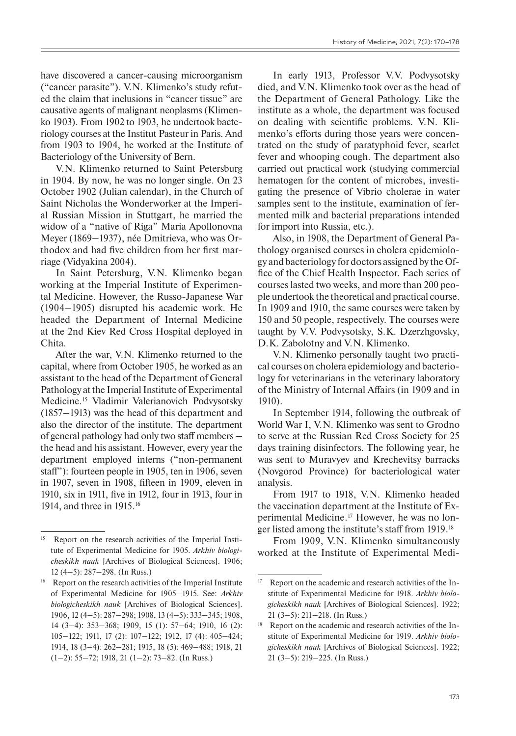have discovered a cancer-causing microorganism ("cancer parasite"). V.N. Klimenko's study refuted the claim that inclusions in "cancer tissue" are causative agents of malignant neoplasms (Klimenko 1903). From 1902 to 1903, he undertook bacteriology courses at the Institut Pasteur in Paris. And from 1903 to 1904, he worked at the Institute of Bacteriology of the University of Bern.

V.N. Klimenko returned to Saint Petersburg in 1904. By now, he was no longer single. On 23 October 1902 (Julian calendar), in the Church of Saint Nicholas the Wonderworker at the Imperial Russian Mission in Stuttgart, he married the widow of a "native of Riga" Maria Apollonovna Meyer (1869–1937), née Dmitrieva, who was Orthodox and had five children from her first marriage (Vidyakina 2004).

In Saint Petersburg, V.N. Klimenko began working at the Imperial Institute of Experimental Medicine. However, the Russo-Japanese War (1904–1905) disrupted his academic work. He headed the Department of Internal Medicine at the 2nd Kiev Red Cross Hospital deployed in Chita.

After the war, V.N. Klimenko returned to the capital, where from October 1905, he worked as an assistant to the head of the Department of General Pathology at the Imperial Institute of Experimental Medicine.15 Vladimir Valerianovich Podvysotsky  $(1857-1913)$  was the head of this department and also the director of the institute. The department of general pathology had only two staff members – the head and his assistant. However, every year the department employed interns ("non-permanent staff"): fourteen people in 1905, ten in 1906, seven in 1907, seven in 1908, fifteen in 1909, eleven in 1910, six in 1911, five in 1912, four in 1913, four in 1914, and three in 1915. 16

In early 1913, Professor V.V. Podvysotsky died, and V.N. Klimenko took over as the head of the Department of General Pathology. Like the institute as a whole, the department was focused on dealing with scientific problems. V.N. Klimenko's efforts during those years were concentrated on the study of paratyphoid fever, scarlet fever and whooping cough. The department also carried out practical work (studying commercial hematogen for the content of microbes, investigating the presence of Vibrio cholerae in water samples sent to the institute, examination of fermented milk and bacterial preparations intended for import into Russia, etc.).

Also, in 1908, the Department of General Pathology organised courses in cholera epidemiology and bacteriology for doctors assigned by the Office of the Chief Health Inspector. Each series of courses lasted two weeks, and more than 200 people undertook the theoretical and practical course. In 1909 and 1910, the same courses were taken by 150 and 50 people, respectively. The courses were taught by V.V. Podvysotsky, S.K. Dzerzhgovsky, D.K. Zabolotny and V.N. Klimenko.

V.N. Klimenko personally taught two practical courses on cholera epidemiology and bacteriology for veterinarians in the veterinary laboratory of the Ministry of Internal Affairs (in 1909 and in 1910).

In September 1914, following the outbreak of World War I, V.N. Klimenko was sent to Grodno to serve at the Russian Red Cross Society for 25 days training disinfectors. The following year, he was sent to Muravyev and Krechevitsy barracks (Novgorod Province) for bacteriological water analysis.

From 1917 to 1918, V.N. Klimenko headed the vaccination department at the Institute of Experimental Medicine. 17 However, he was no longer listed among the institute's staff from 1919. 18

From 1909, V.N. Klimenko simultaneously worked at the Institute of Experimental Medi-

<sup>&</sup>lt;sup>15</sup> Report on the research activities of the Imperial Institute of Experimental Medicine for 1905. *Arkhiv biologicheskikh nauk* [Archives of Biological Sciences]. 1906; 12 (4‒5): 287‒298. (In Russ.)

<sup>&</sup>lt;sup>16</sup> Report on the research activities of the Imperial Institute of Experimental Medicine for 1905-1915. See: Arkhiv *biologicheskikh nauk* [Archives of Biological Sciences]. 1906, 12 (4‒5): 287‒298; 1908, 13 (4‒5): 333‒345; 1908, 14 (3‒4): 353‒368; 1909, 15 (1): 57‒64; 1910, 16 (2): 105‒122; 1911, 17 (2): 107‒122; 1912, 17 (4): 405‒424; 1914, 18 (3‒4): 262‒281; 1915, 18 (5): 469‒488; 1918, 21 (1‒2): 55‒72; 1918, 21 (1‒2): 73‒82. (In Russ.)

<sup>&</sup>lt;sup>17</sup> Report on the academic and research activities of the Institute of Experimental Medicine for 1918. *Arkhiv biologicheskikh nauk* [Archives of Biological Sciences]. 1922;  $21$  (3–5):  $211 - 218$ . (In Russ.)

<sup>&</sup>lt;sup>18</sup> Report on the academic and research activities of the Institute of Experimental Medicine for 1919. *Arkhiv biologicheskikh nauk* [Archives of Biological Sciences]. 1922; 21 (3‒5): 219‒225. (In Russ.)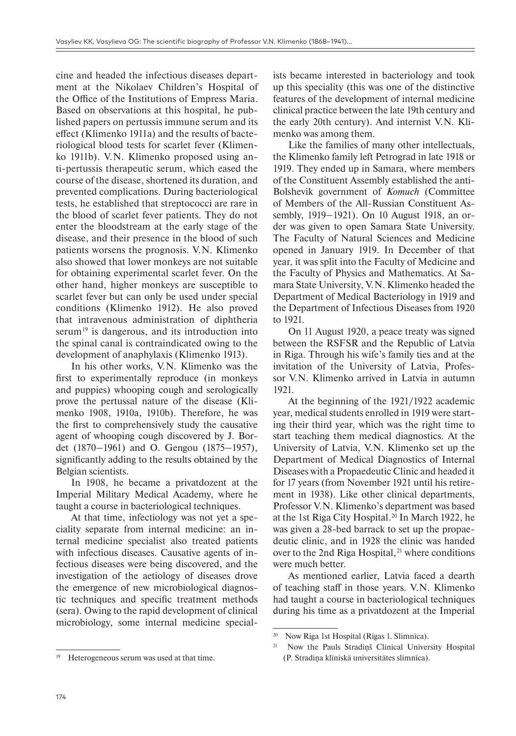cine and headed the infectious diseases department at the Nikolaev Children's Hospital of the Office of the Institutions of Empress Maria. Based on observations at this hospital, he published papers on pertussis immune serum and its effect (Klimenko 1911a) and the results of bacteriological blood tests for scarlet fever (Klimenko 1911b). V.N. Klimenko proposed using anti-pertussis therapeutic serum, which eased the course of the disease, shortened its duration, and prevented complications. During bacteriological tests, he established that streptococci are rare in the blood of scarlet fever patients. They do not enter the bloodstream at the early stage of the disease, and their presence in the blood of such patients worsens the prognosis. V.N. Klimenko also showed that lower monkeys are not suitable for obtaining experimental scarlet fever. On the other hand, higher monkeys are susceptible to scarlet fever but can only be used under special conditions (Klimenko 1912). He also proved that intravenous administration of diphtheria serum<sup>19</sup> is dangerous, and its introduction into the spinal canal is contraindicated owing to the development of anaphylaxis (Klimenko 1913).

In his other works, V.N. Klimenko was the first to experimentally reproduce (in monkeys and puppies) whooping cough and serologically prove the pertussal nature of the disease (Klimenko 1908, 1910a, 1910b). Therefore, he was the first to comprehensively study the causative agent of whooping cough discovered by J. Bordet  $(1870-1961)$  and O. Gengou  $(1875-1957)$ , significantly adding to the results obtained by the Belgian scientists.

In 1908, he became a privatdozent at the Imperial Military Medical Academy, where he taught a course in bacteriological techniques.

At that time, infectiology was not yet a speciality separate from internal medicine: an internal medicine specialist also treated patients with infectious diseases. Causative agents of infectious diseases were being discovered, and the investigation of the aetiology of diseases drove the emergence of new microbiological diagnostic techniques and specific treatment methods (sera). Owing to the rapid development of clinical microbiology, some internal medicine special-

Heterogeneous serum was used at that time.

ists became interested in bacteriology and took up this speciality (this was one of the distinctive features of the development of internal medicine clinical practice between the late 19th century and the early 20th century). And internist V.N. Klimenko was among them.

Like the families of many other intellectuals, the Klimenko family left Petrograd in late 1918 or 1919. They ended up in Samara, where members of the Constituent Assembly established the anti-Bolshevik government of *Komuch* (Committee of Members of the All-Russian Constituent Assembly, 1919–1921). On 10 August 1918, an order was given to open Samara State University. The Faculty of Natural Sciences and Medicine opened in January 1919. In December of that year, it was split into the Faculty of Medicine and the Faculty of Physics and Mathematics. At Samara State University, V.N. Klimenko headed the Department of Medical Bacteriology in 1919 and the Department of Infectious Diseases from 1920 to 1921.

On 11 August 1920, a peace treaty was signed between the RSFSR and the Republic of Latvia in Riga. Through his wife's family ties and at the invitation of the University of Latvia, Professor V.N. Klimenko arrived in Latvia in autumn 1921.

At the beginning of the 1921/1922 academic year, medical students enrolled in 1919 were starting their third year, which was the right time to start teaching them medical diagnostics. At the University of Latvia, V.N. Klimenko set up the Department of Medical Diagnostics of Internal Diseases with a Propaedeutic Clinic and headed it for 17 years (from November 1921 until his retirement in 1938). Like other clinical departments, Professor V.N. Klimenko's department was based at the 1st Riga City Hospital. 20 In March 1922, he was given a 28-bed barrack to set up the propaedeutic clinic, and in 1928 the clinic was handed over to the 2nd Riga Hospital, $^{21}$  where conditions were much better.

As mentioned earlier, Latvia faced a dearth of teaching staff in those years. V.N. Klimenko had taught a course in bacteriological techniques during his time as a privatdozent at the Imperial

<sup>20</sup> Now Riga 1st Hospital (Rīgas 1. Slimnīca).

<sup>&</sup>lt;sup>21</sup> Now the Pauls Stradinš Clinical University Hospital (P. Stradiņa klīniskā universitātes slimnīca).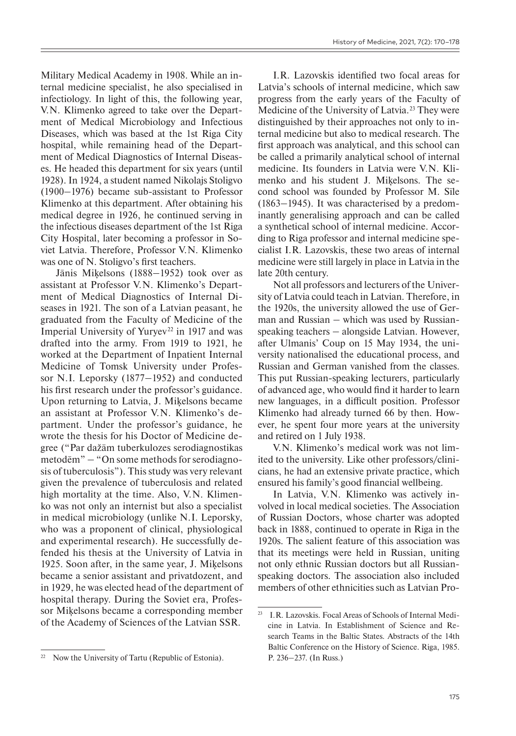Military Medical Academy in 1908. While an internal medicine specialist, he also specialised in infectiology. In light of this, the following year, V.N. Klimenko agreed to take over the Department of Medical Microbiology and Infectious Diseases, which was based at the 1st Riga City hospital, while remaining head of the Department of Medical Diagnostics of Internal Diseases. He headed this department for six years (until 1928). In 1924, a student named Nikolajs Stoligvo (1900‒1976) became sub-assistant to Professor Klimenko at this department. After obtaining his medical degree in 1926, he continued serving in the infectious diseases department of the 1st Riga City Hospital, later becoming a professor in Soviet Latvia. Therefore, Professor V.N. Klimenko was one of N. Stoligvo's first teachers.

Jānis Miķelsons (1888–1952) took over as assistant at Professor V.N. Klimenko's Department of Medical Diagnostics of Internal Diseases in 1921. The son of a Latvian peasant, he graduated from the Faculty of Medicine of the Imperial University of Yuryev<sup>22</sup> in 1917 and was drafted into the army. From 1919 to 1921, he worked at the Department of Inpatient Internal Medicine of Tomsk University under Professor N.I. Leporsky (1877–1952) and conducted his first research under the professor's guidance. Upon returning to Latvia, J. Miķelsons became an assistant at Professor V.N. Klimenko's department. Under the professor's guidance, he wrote the thesis for his Doctor of Medicine degree ("Par dažām tuberkulozes serodiagnostikas metodēm" ‒ "On some methods for serodiagnosis of tuberculosis"). This study was very relevant given the prevalence of tuberculosis and related high mortality at the time. Also, V.N. Klimenko was not only an internist but also a specialist in medical microbiology (unlike N.I. Leporsky, who was a proponent of clinical, physiological and experimental research). He successfully defended his thesis at the University of Latvia in 1925. Soon after, in the same year, J. Miķelsons became a senior assistant and privatdozent, and in 1929, he was elected head of the department of hospital therapy. During the Soviet era, Professor Miķelsons became a corresponding member of the Academy of Sciences of the Latvian SSR.

I.R. Lazovskis identified two focal areas for Latvia's schools of internal medicine, which saw progress from the early years of the Faculty of Medicine of the University of Latvia.<sup>23</sup> They were distinguished by their approaches not only to internal medicine but also to medical research. The first approach was analytical, and this school can be called a primarily analytical school of internal medicine. Its founders in Latvia were V.N. Klimenko and his student J. Miķelsons. The second school was founded by Professor M. Sīle  $(1863-1945)$ . It was characterised by a predominantly generalising approach and can be called a synthetical school of internal medicine. According to Riga professor and internal medicine specialist I.R. Lazovskis, these two areas of internal medicine were still largely in place in Latvia in the late 20th century.

Not all professors and lecturers of the University of Latvia could teach in Latvian. Therefore, in the 1920s, the university allowed the use of German and Russian  $-$  which was used by Russian $s$  peaking teachers  $-$  alongside Latvian. However, after Ulmanis' Coup on 15 May 1934, the university nationalised the educational process, and Russian and German vanished from the classes. This put Russian-speaking lecturers, particularly of advanced age, who would find it harder to learn new languages, in a difficult position. Professor Klimenko had already turned 66 by then. However, he spent four more years at the university and retired on 1 July 1938.

V.N. Klimenko's medical work was not limited to the university. Like other professors/clinicians, he had an extensive private practice, which ensured his family's good financial wellbeing.

In Latvia, V.N. Klimenko was actively involved in local medical societies. The Association of Russian Doctors, whose charter was adopted back in 1888, continued to operate in Riga in the 1920s. The salient feature of this association was that its meetings were held in Russian, uniting not only ethnic Russian doctors but all Russianspeaking doctors. The association also included members of other ethnicities such as Latvian Pro-

<sup>&</sup>lt;sup>22</sup> Now the University of Tartu (Republic of Estonia).

<sup>23</sup> I.R. Lazovskis. Focal Areas of Schools of Internal Medicine in Latvia. In Establishment of Science and Research Teams in the Baltic States. Abstracts of the 14th Baltic Conference on the History of Science. Riga, 1985. P. 236-237. (In Russ.)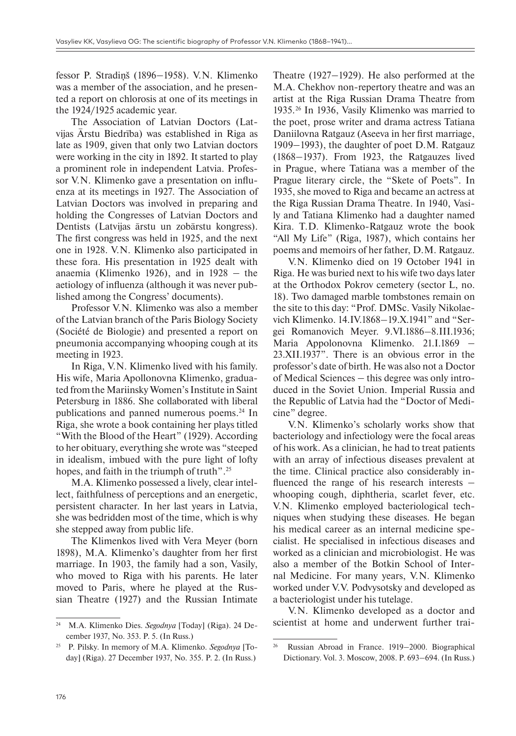fessor P. Stradinš (1896–1958). V.N. Klimenko was a member of the association, and he presented a report on chlorosis at one of its meetings in the 1924/1925 academic year.

The Association of Latvian Doctors (Latvijas Ārstu Biedrība) was established in Riga as late as 1909, given that only two Latvian doctors were working in the city in 1892. It started to play a prominent role in independent Latvia. Professor V.N. Klimenko gave a presentation on influenza at its meetings in 1927. The Association of Latvian Doctors was involved in preparing and holding the Congresses of Latvian Doctors and Dentists (Latvijas ārstu un zobārstu kongress). The first congress was held in 1925, and the next one in 1928. V.N. Klimenko also participated in these fora. His presentation in 1925 dealt with anaemia (Klimenko 1926), and in  $1928 -$  the aetiology of influenza (although it was never published among the Congress' documents).

Professor V.N. Klimenko was also a member of the Latvian branch of the Paris Biology Society (Société de Biologie) and presented a report on pneumonia accompanying whooping cough at its meeting in 1923.

In Riga, V.N. Klimenko lived with his family. His wife, Maria Apollonovna Klimenko, graduated from the Mariinsky Women's Institute in Saint Petersburg in 1886. She collaborated with liberal publications and panned numerous poems. 24 In Riga, she wrote a book containing her plays titled "With the Blood of the Heart" (1929). According to her obituary, everything she wrote was "steeped in idealism, imbued with the pure light of lofty hopes, and faith in the triumph of truth". 25

M.A. Klimenko possessed a lively, clear intellect, faithfulness of perceptions and an energetic, persistent character. In her last years in Latvia, she was bedridden most of the time, which is why she stepped away from public life.

The Klimenkos lived with Vera Meyer (born 1898), M.A. Klimenko's daughter from her first marriage. In 1903, the family had a son, Vasily, who moved to Riga with his parents. He later moved to Paris, where he played at the Russian Theatre (1927) and the Russian Intimate Theatre  $(1927-1929)$ . He also performed at the M.A. Chekhov non-repertory theatre and was an artist at the Riga Russian Drama Theatre from 1935.26 In 1936, Vasily Klimenko was married to the poet, prose writer and drama actress Tatiana Daniilovna Ratgauz (Aseeva in her first marriage, 1909‒1993), the daughter of poet D.M. Ratgauz (1868‒1937). From 1923, the Ratgauzes lived in Prague, where Tatiana was a member of the Prague literary circle, the "Skete of Poets". In 1935, she moved to Riga and became an actress at the Riga Russian Drama Theatre. In 1940, Vasily and Tatiana Klimenko had a daughter named Kira. T.D. Klimenko-Ratgauz wrote the book "All My Life" (Riga, 1987), which contains her poems and memoirs of her father, D.M. Ratgauz.

V.N. Klimenko died on 19 October 1941 in Riga. He was buried next to his wife two days later at the Orthodox Pokrov cemetery (sector L, no. 18). Two damaged marble tombstones remain on the site to this day: "Prof. DMSc. Vasily Nikolaevich Klimenko. 14.IV.1868–19.X.1941" and "Sergei Romanovich Meyer. 9.VI.1886–8.III.1936; Maria Appolonovna Klimenko. 21.I.1869 – 23.XII.1937". There is an obvious error in the professor's date of birth. He was also not a Doctor of Medical Sciences – this degree was only introduced in the Soviet Union. Imperial Russia and the Republic of Latvia had the "Doctor of Medicine" degree.

V.N. Klimenko's scholarly works show that bacteriology and infectiology were the focal areas of his work. As a clinician, he had to treat patients with an array of infectious diseases prevalent at the time. Clinical practice also considerably influenced the range of his research interests  $$ whooping cough, diphtheria, scarlet fever, etc. V.N. Klimenko employed bacteriological techniques when studying these diseases. He began his medical career as an internal medicine specialist. He specialised in infectious diseases and worked as a clinician and microbiologist. He was also a member of the Botkin School of Internal Medicine. For many years, V.N. Klimenko worked under V.V. Podvysotsky and developed as a bacteriologist under his tutelage.

V.N. Klimenko developed as a doctor and scientist at home and underwent further trai-

<sup>24</sup> M.A. Klimenko Dies. *Segodnya* [Today] (Riga). 24 December 1937, No. 353. P. 5. (In Russ.)

<sup>25</sup> P. Pilsky. In memory of M.A. Klimenko. *Segodnya* [Today] (Riga). 27 December 1937, No. 355. P. 2. (In Russ.)

 $26$  Russian Abroad in France. 1919–2000. Biographical Dictionary. Vol. 3. Moscow, 2008. P. 693-694. (In Russ.)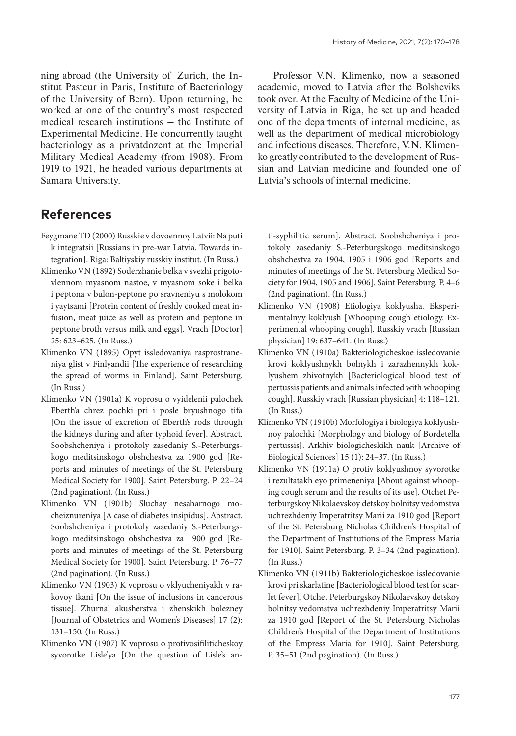ning abroad (the University of Zurich, the Institut Pasteur in Paris, Institute of Bacteriology of the University of Bern). Upon returning, he worked at one of the country's most respected  $medi$  research institutions  $-$  the Institute of Experimental Medicine. He concurrently taught bacteriology as a privatdozent at the Imperial Military Medical Academy (from 1908). From 1919 to 1921, he headed various departments at Samara University.

## **References**

- Feygmane TD (2000) Russkie v dovoennoy Latvii: Na puti k integratsii [Russians in pre-war Latvia. Towards integration]. Riga: Baltiyskiy russkiy institut. (In Russ.)
- Klimenko VN (1892) Soderzhanie belka v svezhi prigotovlennom myasnom nastoe, v myasnom soke i belka i peptona v bulon-peptone po sravneniyu s molokom i yaytsami [Protein content of freshly cooked meat infusion, meat juice as well as protein and peptone in peptone broth versus milk and eggs]. Vrach [Doctor] 25: 623–625. (In Russ.)
- Klimenko VN (1895) Opyt issledovaniya rasprostraneniya glist v Finlyandii [The experience of researching the spread of worms in Finland]. Saint Petersburg. (In Russ.)
- Klimenko VN (1901a) K voprosu o vyidelenii palochek Eberth'a chrez pochki pri i posle bryushnogo tifa [On the issue of excretion of Eberth's rods through the kidneys during and after typhoid fever]. Abstract. Soobshcheniya i protokoly zasedaniy S.-Peterburgskogo meditsinskogo obshchestva za 1900 god [Reports and minutes of meetings of the St. Petersburg Medical Society for 1900]. Saint Petersburg. P. 22–24 (2nd pagination). (In Russ.)
- Klimenko VN (1901b) Sluchay nesaharnogo mocheiznureniya [A case of diabetes insipidus]. Abstract. Soobshcheniya i protokoly zasedaniy S.-Peterburgskogo meditsinskogo obshchestva za 1900 god [Reports and minutes of meetings of the St. Petersburg Medical Society for 1900]. Saint Petersburg. P. 76–77 (2nd pagination). (In Russ.)
- Klimenko VN (1903) K voprosu o vklyucheniyakh v rakovoy tkani [On the issue of inclusions in cancerous tissue]. Zhurnal akusherstva i zhenskikh bolezney [Journal of Obstetrics and Women's Diseases] 17 (2): 131–150. (In Russ.)
- Klimenko VN (1907) K voprosu o protivosifiliticheskoy syvorotke Lisle'ya [On the question of Lisle's an-

Professor V.N. Klimenko, now a seasoned academic, moved to Latvia after the Bolsheviks took over. At the Faculty of Medicine of the University of Latvia in Riga, he set up and headed one of the departments of internal medicine, as well as the department of medical microbiology and infectious diseases. Therefore, V.N. Klimenko greatly contributed to the development of Russian and Latvian medicine and founded one of Latvia's schools of internal medicine.

ti-syphilitic serum]. Abstract. Soobshcheniya i protokoly zasedaniy S.-Peterburgskogo meditsinskogo obshchestva za 1904, 1905 i 1906 god [Reports and minutes of meetings of the St. Petersburg Medical Society for 1904, 1905 and 1906]. Saint Petersburg. P. 4–6 (2nd pagination). (In Russ.)

- Klimenko VN (1908) Etiologiya koklyusha. Eksperimentalnyy koklyush [Whooping cough etiology. Experimental whooping cough]. Russkiy vrach [Russian physician] 19: 637–641. (In Russ.)
- Klimenko VN (1910a) Bakteriologicheskoe issledovanie krovi koklyushnykh bolnykh i zarazhennykh koklyushem zhivotnykh [Bacteriological blood test of pertussis patients and animals infected with whooping cough]. Russkiy vrach [Russian physician] 4: 118–121. (In Russ.)
- Klimenko VN (1910b) Morfologiya i biologiya koklyushnoy palochki [Morphology and biology of Bordetella pertussis]. Arkhiv biologicheskikh nauk [Archive of Biological Sciences] 15 (1): 24–37. (In Russ.)
- Klimenko VN (1911a) O protiv koklyushnoy syvorotke i rezultatakh eyo primeneniya [About against whooping cough serum and the results of its use]. Otchet Peterburgskoy Nikolaevskoy detskoy bolnitsy vedomstva uchrezhdeniy Imperatritsy Marii za 1910 god [Report of the St. Petersburg Nicholas Children's Hospital of the Department of Institutions of the Empress Maria for 1910]. Saint Petersburg. P. 3–34 (2nd pagination). (In Russ.)
- Klimenko VN (1911b) Bakteriologicheskoe issledovanie krovi pri skarlatine [Bacteriological blood test for scarlet fever]. Otchet Peterburgskoy Nikolaevskoy detskoy bolnitsy vedomstva uchrezhdeniy Imperatritsy Marii za 1910 god [Report of the St. Petersburg Nicholas Children's Hospital of the Department of Institutions of the Empress Maria for 1910]. Saint Petersburg. P. 35–51 (2nd pagination). (In Russ.)